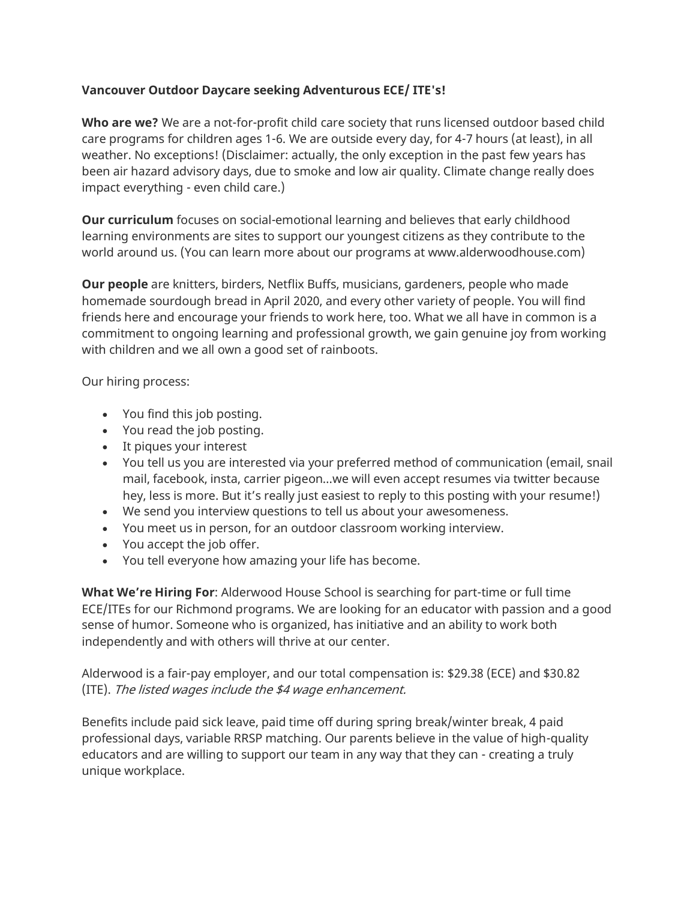## **Vancouver Outdoor Daycare seeking Adventurous ECE/ ITE's!**

**Who are we?** We are a not-for-profit child care society that runs licensed outdoor based child care programs for children ages 1-6. We are outside every day, for 4-7 hours (at least), in all weather. No exceptions! (Disclaimer: actually, the only exception in the past few years has been air hazard advisory days, due to smoke and low air quality. Climate change really does impact everything - even child care.)

**Our curriculum** focuses on social-emotional learning and believes that early childhood learning environments are sites to support our youngest citizens as they contribute to the world around us. (You can learn more about our programs at www.alderwoodhouse.com)

**Our people** are knitters, birders, Netflix Buffs, musicians, gardeners, people who made homemade sourdough bread in April 2020, and every other variety of people. You will find friends here and encourage your friends to work here, too. What we all have in common is a commitment to ongoing learning and professional growth, we gain genuine joy from working with children and we all own a good set of rainboots.

Our hiring process:

- You find this job posting.
- You read the job posting.
- It piques your interest
- You tell us you are interested via your preferred method of communication (email, snail mail, facebook, insta, carrier pigeon…we will even accept resumes via twitter because hey, less is more. But it's really just easiest to reply to this posting with your resume!)
- We send you interview questions to tell us about your awesomeness.
- You meet us in person, for an outdoor classroom working interview.
- You accept the job offer.
- You tell everyone how amazing your life has become.

**What We're Hiring For**: Alderwood House School is searching for part-time or full time ECE/ITEs for our Richmond programs. We are looking for an educator with passion and a good sense of humor. Someone who is organized, has initiative and an ability to work both independently and with others will thrive at our center.

Alderwood is a fair-pay employer, and our total compensation is: \$29.38 (ECE) and \$30.82 (ITE). The listed wages include the \$4 wage enhancement.

Benefits include paid sick leave, paid time off during spring break/winter break, 4 paid professional days, variable RRSP matching. Our parents believe in the value of high-quality educators and are willing to support our team in any way that they can - creating a truly unique workplace.